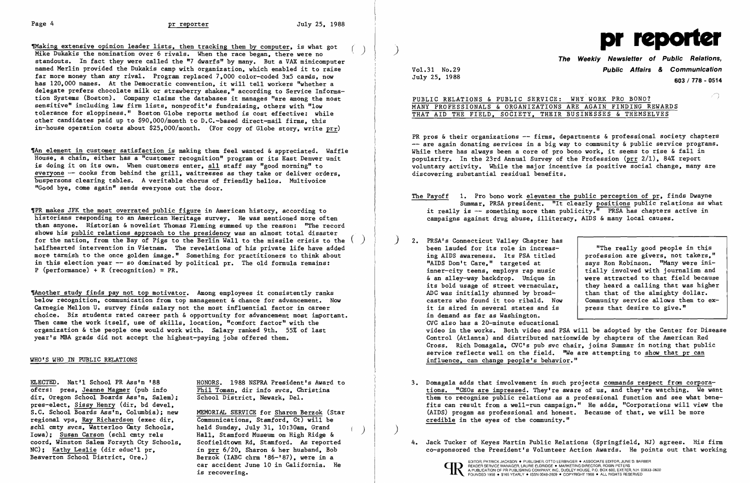Waking extensive opinion leader lists, then tracking them by computer, is what got () produced and the model of the model of the model of the model of the model of the model of the model of the model of the model of the mo Mike Dukakis the nomination over 6 rivals. When the race began, there were no standouts. In fact they were called the "7 dwarfs" by many. But a VAX minicomputer named Merlin provided the Dukakis camp with organization. which enabled it to raise far more money than any rival. Program replaced 7,000 color-coded 3x5 cards, now has 120,000 names. At the Democratic convention, it will tell workers "whether a delegate prefers chocolate milk or strawberry shakes," according to Service Information Systems (Boston). Company claims the databases it manages "are among the most sensitive" including law firm lists. nonprofit's fundraising. others with "low tolerance for sloppiness." Boston Globe reports method is cost effective: while other candidates paid up to \$90.000/month to D.C.-based direct-mail firms. this in-house operation costs about \$25.000/month. (For copy of Globe story. write prr)

TAn element in customer satisfaction is making them feel wanted & appreciated. Waffle House. a chain. either has a "customer recognition" program or its East Denver unit is doing it on its own. When customers enter. all staff say "good morning" to everyone -- cooks from behind the grill, waitresses as they take or deliver orders. buspersons clearing tables. A veritable chorus of friendly hellos. Mu1tivoice "Good bye. come again" sends eve ryone out the door.

,PR makes JFK the most overrated public figure in American history. according to historians responding to an American Heritage survey. He was mentioned more often than anyone. Historian & novelist Thomas Fleming summed up the reason: "The record<br>shows his public relations approach to the presidency was an almost total disaster shows his public relations approach to the presidency was an almost total disaster<br>for the nation, from the Bay of Pigs to the Berlin Wall to the missile crisis to the halfhearted intervention in Vietnam. The revelations of his private life have added more tarnish to the once golden image." Something for practitioners to think about in this election year  $-$ - so dominated by political pr. The old formula remains: P (performance) + R (recognition) =  $PR$ .

The another study finds pay not top motivator. Among employees it consistently ranks below recognition, communication from top management & chance for advancement. Now Carnegie Mellon U. survey finds salary not the most influential factor in career choice. Biz students rated career path & opportunity for advancement most important. Then came the work itself. use of skills. location. "comfort factor" with the organization &the people one would work with. Salary ranked 9th. 55% of last year's MBA grads did not accept the highest-paying jobs offered them.

> Berzok (IABC chrm '86-'87). were in a car accident June 10 in California. He is recovering.

PR pros & their organizations -- firms, departments & professional society chapters -- are again donating services in a big way to community & public service programs. While there has always been a core of pro bono work. it seems to rise & fall in popularity. In the 23rd Annual Survey of the Profession (prr 2/1). 84% report voluntary activity. While the major incentive is positive social change. many are discovering substantial residual benefits.

video in the works. Both video and PSA will be adopted by the Center for Disease Control (Atlanta) and distributed nationwide by chapters of the American Red Cross. Rich Domagala, CVC's pub svc chair, joins Summar in noting that public service reflects well on the field. "We are attempting to show that pr can

## WHO'S WHO IN PUBLIC RELATIONS

ELECTED. Nat'1 School PR Ass'n '88 HONORS. 1988 NSPRA President's Award to ofcrs: pres, Jeanne Magmer (pub info  $\frac{Phi1 \text{ Toman}}{Phi1 \text{ Toman}}$ , dir info sycs. Christina dir. Oregon School Boards Ass'n. Salem): pres-elect, Sissy Henry (dir, bd devel, S.C. School Boards Ass'n, Columbia); new MEMORIAL SERVICE for Sharon Berzok (Star regional vps, Ray Richardson (exec dir, Communications, Stamford, Ct) will be regional vps, Ray Richardson (exec dir, sch1 cmty svcs, Watter100 Cmty Schools, held Sunday, July 31, 10:30am, Grand Iowa): Susan Carson (sch1 cmty re1s Hall. Stamford Museum on High Ridge & coord. Winston Salem Forsyth Cty Schools. Scofieldtown Rd. Stamford. As reported<br>NC): Kathy Leslie (dir educ'l pr. in prr 6/20. Sharon & her husband. Bob NC); Kathy Leslie (dir educ'l pr. in prr 6/20. Sharon & her husband. Bob<br>Beaverton School District. Ore.) Berzok (IABC chrm '86-'87). were in a

Phil Toman, dir info svcs, Christina School District, Newark, Del.

3. Domagala adds that involvement in such projects commands respect from corporations. "CEOs are impressed. They're aware of us. and they're watching. We want them to recognize public relations as a professional function and see what benefits can result from a well-run campaign." He adds. "Corporations will view the (AIDS) progam as professional and honest. Because of that, we will be more

- campaigns against drug abuse, illiteracy, AIDS & many local causes.
- 2. PRSA's Connecticut Valley Chapter has & an alley-way backdrop. Unique in it is aired in several states and is in demand as far as Washington. CVC also has a 20-minute educational influence. can change people's behavior."
- credible in the eyes of the community."
- 



 $\big)$ 

READER SERVICE MANAGER, LAURIE ELDRIDGE • MARKETING DIRECTOR, ROBIN PETERS<br>A PUBLICATION OF PR PUBLISHING COMPANY, INC., DUDLEY HOUSE, P.O. BOX 600, EXETER<br>FOUNDED 1958 • \$165 YEARLY • ISSN 0048-2609 • COPYRIGHT 1988 • ALL



## VoL31 No.29 **Public Affairs & Communication**  July 25. 1988 **603/ 778 - <sup>0514</sup>**

 $\sqrt{2}$ 

The Payoff  $1.$  Pro bono work elevates the public perception of pr, finds Dwayne Summar. PRSA president. "It clearly positions public relations as what it really is  $-$  something more than publicity.<sup> $\overline{m}$ </sup> PRSA has chapters active in

been lauded for its role in increas-<br>ing AIDS awareness. Its PSA titled profession are givers, not takers,' ing AIDS awareness. Its PSA titled | profession are givers, not takers,"<br>"AIDS Don't Care," targeted at | says Ron Robinson. "Many were inisays Ron Robinson. "Many were ini-<br>tially involved with journalism and inner-city teens, employs rap music and tially involved with journalism and  $\alpha$  an allev-way backdrop. Unique in the vere attracted to that field because its bold usage of street vernacular, <br>ADC was initially shunned by broad-<br>than that of the almighty dollar. ADC was initially shunned by broad-<br>casters who found it too ribald. Now Community service allows them to  $\epsilon$ Community service allows them to ex-<br>press that desire to give."

PUBLIC RELATIONS & PUBLIC SERVICE: WHY WORK PRO BONO? MANY PROFESSIONALS & ORGANIZATIONS ARE AGAIN FINDING REWARDS THAT AID THE FIELD. SOCIETY. THEIR BUSINESSES & THEMSELVES

4. Jack Tucker of Keyes Martin Public Relations (Springfield. NJ) agrees. His firm co-sponsored the President's Volunteer Action Awards. He points out that working